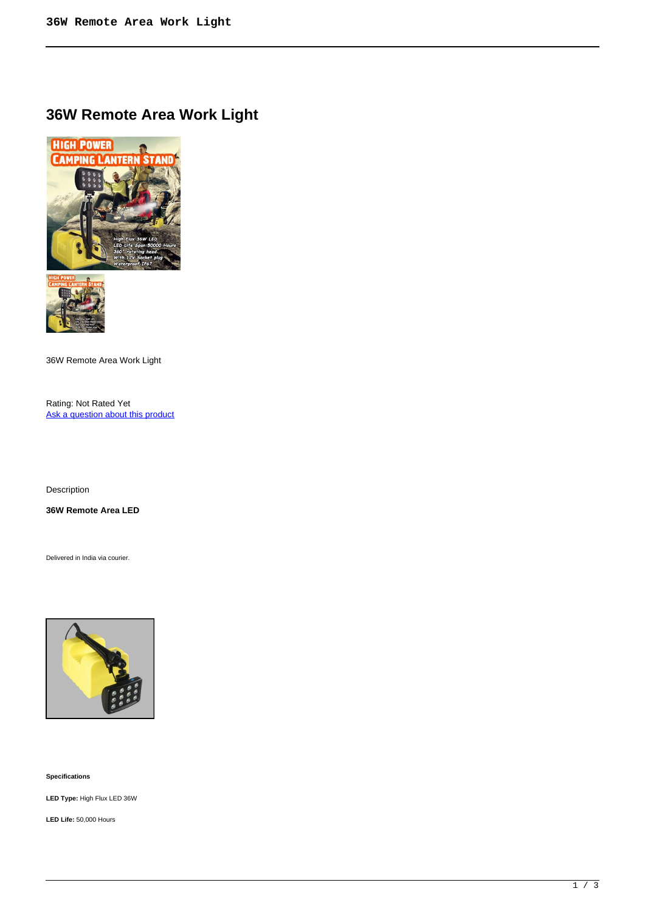## **36W Remote Area Work Light**





36W Remote Area Work Light

Rating: Not Rated Yet Ask a question about this product

Description

**36W Remote Area LED**

Delivered in India via courier.



**Specifications** 

**LED Type:** High Flux LED 36W

**LED Life:** 50,000 Hours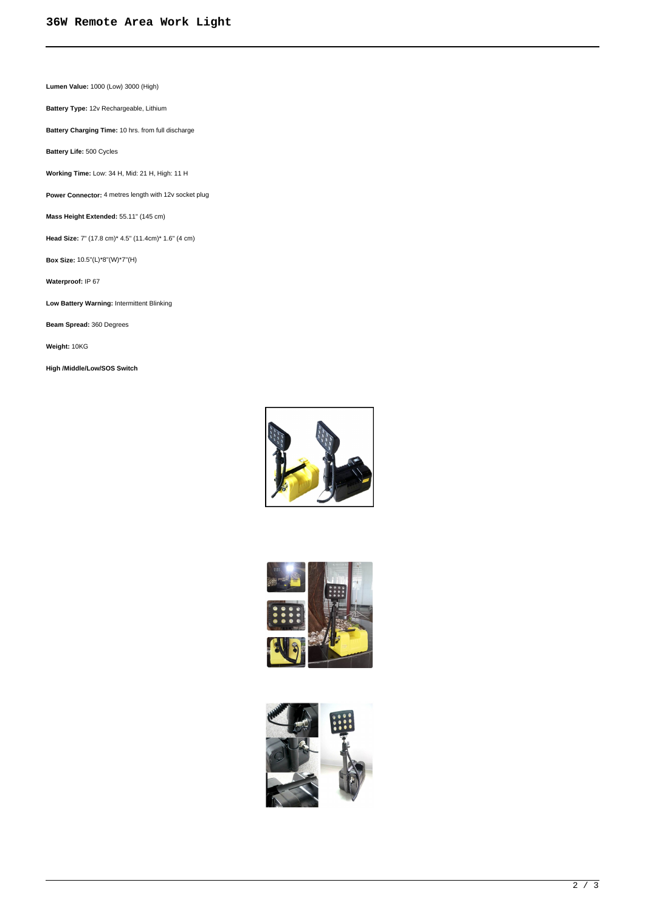**Lumen Value:** 1000 (Low) 3000 (High)

**Battery Type:** 12v Rechargeable, Lithium

**Battery Charging Time:** 10 hrs. from full discharge

**Battery Life:** 500 Cycles

**Working Time:** Low: 34 H, Mid: 21 H, High: 11 H

**Power Connector:** 4 metres length with 12v socket plug

**Mass Height Extended:** 55.11" (145 cm)

**Head Size:** 7" (17.8 cm)\* 4.5" (11.4cm)\* 1.6" (4 cm)

**Box Size:** 10.5''(L)\*8''(W)\*7''(H)

**Waterproof:** IP 67

**Low Battery Warning:** Intermittent Blinking

**Beam Spread:** 360 Degrees

**Weight:** 10KG

**High /Middle/Low/SOS Switch**